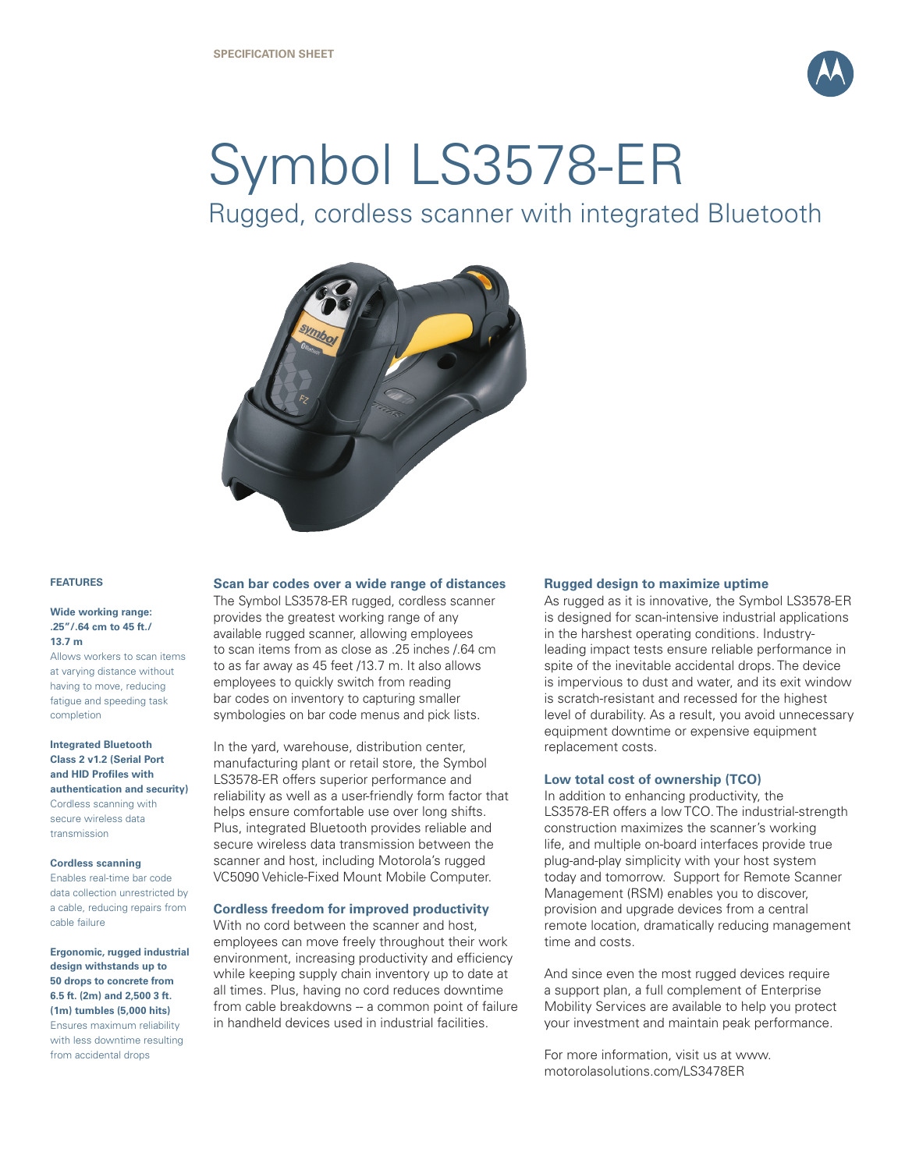

# Symbol LS3578-ER

Rugged, cordless scanner with integrated Bluetooth



#### **FEATURES**

#### **Wide working range: .25"/.64 cm to 45 ft./ 13.7 m**

Allows workers to scan items at varying distance without having to move, reducing fatigue and speeding task completion

**Integrated Bluetooth Class 2 v1.2 (Serial Port and HID Profiles with authentication and security)** Cordless scanning with secure wireless data transmission

#### **Cordless scanning**

Enables real-time bar code data collection unrestricted by a cable, reducing repairs from cable failure

**Ergonomic, rugged industrial design withstands up to 50 drops to concrete from 6.5 ft. (2m) and 2,500 3 ft. (1m) tumbles (5,000 hits)** Ensures maximum reliability with less downtime resulting from accidental drops

#### **Scan bar codes over a wide range of distances**

The Symbol LS3578-ER rugged, cordless scanner provides the greatest working range of any available rugged scanner, allowing employees to scan items from as close as .25 inches /.64 cm to as far away as 45 feet /13.7 m. It also allows employees to quickly switch from reading bar codes on inventory to capturing smaller symbologies on bar code menus and pick lists.

In the yard, warehouse, distribution center, manufacturing plant or retail store, the Symbol LS3578-ER offers superior performance and reliability as well as a user-friendly form factor that helps ensure comfortable use over long shifts. Plus, integrated Bluetooth provides reliable and secure wireless data transmission between the scanner and host, including Motorola's rugged VC5090 Vehicle-Fixed Mount Mobile Computer.

#### **Cordless freedom for improved productivity**

With no cord between the scanner and host, employees can move freely throughout their work environment, increasing productivity and efficiency while keeping supply chain inventory up to date at all times. Plus, having no cord reduces downtime from cable breakdowns -- a common point of failure in handheld devices used in industrial facilities.

#### **Rugged design to maximize uptime**

As rugged as it is innovative, the Symbol LS3578-ER is designed for scan-intensive industrial applications in the harshest operating conditions. Industryleading impact tests ensure reliable performance in spite of the inevitable accidental drops. The device is impervious to dust and water, and its exit window is scratch-resistant and recessed for the highest level of durability. As a result, you avoid unnecessary equipment downtime or expensive equipment replacement costs.

#### **Low total cost of ownership (TCO)**

In addition to enhancing productivity, the LS3578-ER offers a low TCO. The industrial-strength construction maximizes the scanner's working life, and multiple on-board interfaces provide true plug-and-play simplicity with your host system today and tomorrow. Support for Remote Scanner Management (RSM) enables you to discover, provision and upgrade devices from a central remote location, dramatically reducing management time and costs.

And since even the most rugged devices require a support plan, a full complement of Enterprise Mobility Services are available to help you protect your investment and maintain peak performance.

For more information, visit us at www. motorolasolutions.com/LS3478ER